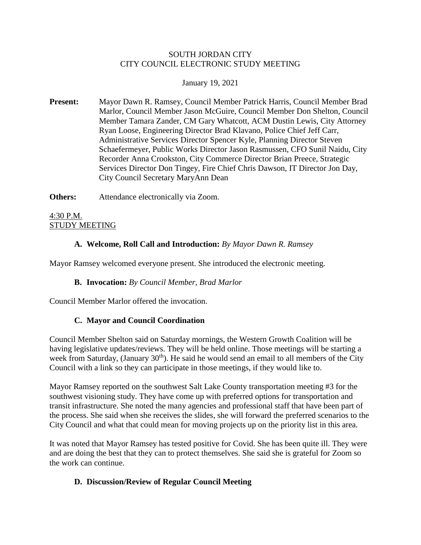### SOUTH JORDAN CITY CITY COUNCIL ELECTRONIC STUDY MEETING

### January 19, 2021

**Present:** Mayor Dawn R. Ramsey, Council Member Patrick Harris, Council Member Brad Marlor, Council Member Jason McGuire, Council Member Don Shelton, Council Member Tamara Zander, CM Gary Whatcott, ACM Dustin Lewis, City Attorney Ryan Loose, Engineering Director Brad Klavano, Police Chief Jeff Carr, Administrative Services Director Spencer Kyle, Planning Director Steven Schaefermeyer, Public Works Director Jason Rasmussen, CFO Sunil Naidu, City Recorder Anna Crookston, City Commerce Director Brian Preece, Strategic Services Director Don Tingey, Fire Chief Chris Dawson, IT Director Jon Day, City Council Secretary MaryAnn Dean

**Others:** Attendance electronically via Zoom.

4:30 P.M. STUDY MEETING

# **A. Welcome, Roll Call and Introduction:** *By Mayor Dawn R. Ramsey*

Mayor Ramsey welcomed everyone present. She introduced the electronic meeting.

# **B. Invocation:** *By Council Member, Brad Marlor*

Council Member Marlor offered the invocation.

# **C. Mayor and Council Coordination**

Council Member Shelton said on Saturday mornings, the Western Growth Coalition will be having legislative updates/reviews. They will be held online. Those meetings will be starting a week from Saturday, (January  $30<sup>th</sup>$ ). He said he would send an email to all members of the City Council with a link so they can participate in those meetings, if they would like to.

Mayor Ramsey reported on the southwest Salt Lake County transportation meeting #3 for the southwest visioning study. They have come up with preferred options for transportation and transit infrastructure. She noted the many agencies and professional staff that have been part of the process. She said when she receives the slides, she will forward the preferred scenarios to the City Council and what that could mean for moving projects up on the priority list in this area.

It was noted that Mayor Ramsey has tested positive for Covid. She has been quite ill. They were and are doing the best that they can to protect themselves. She said she is grateful for Zoom so the work can continue.

# **D. Discussion/Review of Regular Council Meeting**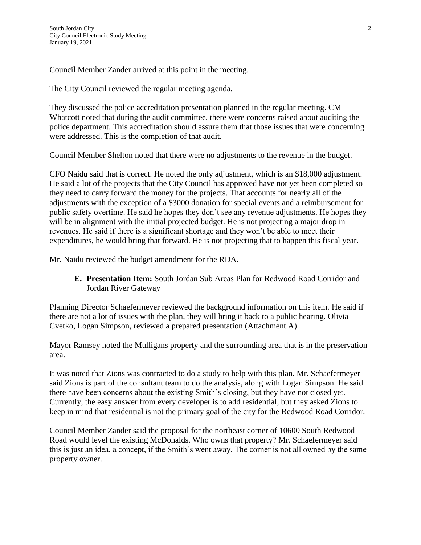Council Member Zander arrived at this point in the meeting.

The City Council reviewed the regular meeting agenda.

They discussed the police accreditation presentation planned in the regular meeting. CM Whatcott noted that during the audit committee, there were concerns raised about auditing the police department. This accreditation should assure them that those issues that were concerning were addressed. This is the completion of that audit.

Council Member Shelton noted that there were no adjustments to the revenue in the budget.

CFO Naidu said that is correct. He noted the only adjustment, which is an \$18,000 adjustment. He said a lot of the projects that the City Council has approved have not yet been completed so they need to carry forward the money for the projects. That accounts for nearly all of the adjustments with the exception of a \$3000 donation for special events and a reimbursement for public safety overtime. He said he hopes they don't see any revenue adjustments. He hopes they will be in alignment with the initial projected budget. He is not projecting a major drop in revenues. He said if there is a significant shortage and they won't be able to meet their expenditures, he would bring that forward. He is not projecting that to happen this fiscal year.

Mr. Naidu reviewed the budget amendment for the RDA.

**E. Presentation Item:** South Jordan Sub Areas Plan for Redwood Road Corridor and Jordan River Gateway

Planning Director Schaefermeyer reviewed the background information on this item. He said if there are not a lot of issues with the plan, they will bring it back to a public hearing. Olivia Cvetko, Logan Simpson, reviewed a prepared presentation (Attachment A).

Mayor Ramsey noted the Mulligans property and the surrounding area that is in the preservation area.

It was noted that Zions was contracted to do a study to help with this plan. Mr. Schaefermeyer said Zions is part of the consultant team to do the analysis, along with Logan Simpson. He said there have been concerns about the existing Smith's closing, but they have not closed yet. Currently, the easy answer from every developer is to add residential, but they asked Zions to keep in mind that residential is not the primary goal of the city for the Redwood Road Corridor.

Council Member Zander said the proposal for the northeast corner of 10600 South Redwood Road would level the existing McDonalds. Who owns that property? Mr. Schaefermeyer said this is just an idea, a concept, if the Smith's went away. The corner is not all owned by the same property owner.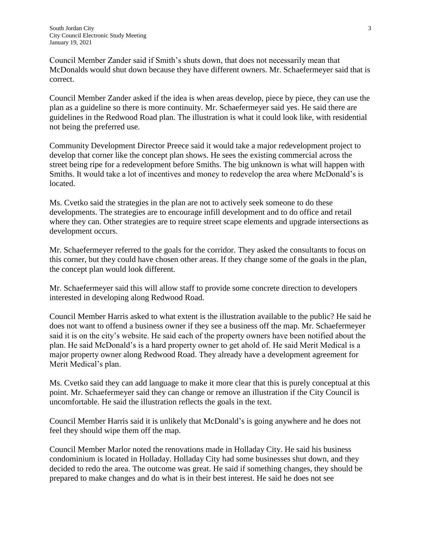Council Member Zander said if Smith's shuts down, that does not necessarily mean that McDonalds would shut down because they have different owners. Mr. Schaefermeyer said that is correct.

Council Member Zander asked if the idea is when areas develop, piece by piece, they can use the plan as a guideline so there is more continuity. Mr. Schaefermeyer said yes. He said there are guidelines in the Redwood Road plan. The illustration is what it could look like, with residential not being the preferred use.

Community Development Director Preece said it would take a major redevelopment project to develop that corner like the concept plan shows. He sees the existing commercial across the street being ripe for a redevelopment before Smiths. The big unknown is what will happen with Smiths. It would take a lot of incentives and money to redevelop the area where McDonald's is located.

Ms. Cvetko said the strategies in the plan are not to actively seek someone to do these developments. The strategies are to encourage infill development and to do office and retail where they can. Other strategies are to require street scape elements and upgrade intersections as development occurs.

Mr. Schaefermeyer referred to the goals for the corridor. They asked the consultants to focus on this corner, but they could have chosen other areas. If they change some of the goals in the plan, the concept plan would look different.

Mr. Schaefermeyer said this will allow staff to provide some concrete direction to developers interested in developing along Redwood Road.

Council Member Harris asked to what extent is the illustration available to the public? He said he does not want to offend a business owner if they see a business off the map. Mr. Schaefermeyer said it is on the city's website. He said each of the property owners have been notified about the plan. He said McDonald's is a hard property owner to get ahold of. He said Merit Medical is a major property owner along Redwood Road. They already have a development agreement for Merit Medical's plan.

Ms. Cvetko said they can add language to make it more clear that this is purely conceptual at this point. Mr. Schaefermeyer said they can change or remove an illustration if the City Council is uncomfortable. He said the illustration reflects the goals in the text.

Council Member Harris said it is unlikely that McDonald's is going anywhere and he does not feel they should wipe them off the map.

Council Member Marlor noted the renovations made in Holladay City. He said his business condominium is located in Holladay. Holladay City had some businesses shut down, and they decided to redo the area. The outcome was great. He said if something changes, they should be prepared to make changes and do what is in their best interest. He said he does not see